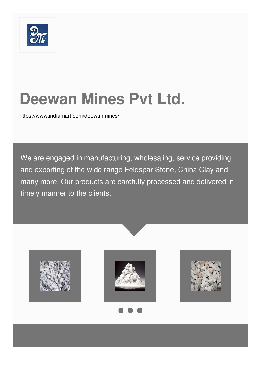

# **Deewan Mines Pvt Ltd.**

<https://www.indiamart.com/deewanmines/>

We are engaged in manufacturing, wholesaling, service providing and exporting of the wide range Feldspar Stone, China Clay and many more. Our products are carefully processed and delivered in timely manner to the clients.

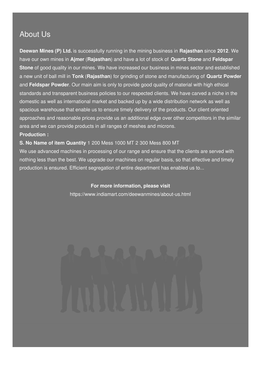# About Us

**Deewan Mines (P) Ltd.** is successfully running in the mining business in **Rajasthan** since **2012**. We have our own mines in **Ajmer** (**Rajasthan**) and have a lot of stock of **Quartz Stone** and **Feldspar Stone** of good quality in our mines. We have increased our business in mines sector and established a new unit of ball mill in **Tonk** (**Rajasthan**) for grinding of stone and manufacturing of **Quartz Powder** and **Feldspar Powder**. Our main aim is only to provide good quality of material with high ethical standards and transparent business policies to our respected clients. We have carved a niche in the domestic as well as international market and backed up by a wide distribution network as well as spacious warehouse that enable us to ensure timely delivery of the products. Our client oriented approaches and reasonable prices provide us an additional edge over other competitors in the similar area and we can provide products in all ranges of meshes and microns. **Production :**

#### **S. No Name of item Quantity** 1 200 Mess 1000 MT 2 300 Mess 800 MT

We use advanced machines in processing of our range and ensure that the clients are served with nothing less than the best. We upgrade our machines on regular basis, so that effective and timely production is ensured. Efficient segregation of entire department has enabled us to...

#### **For more information, please visit**

<https://www.indiamart.com/deewanmines/about-us.html>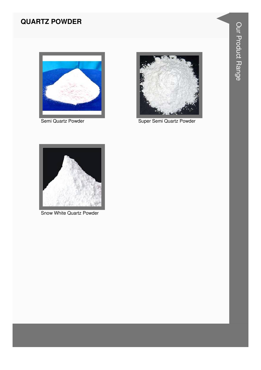# **QUARTZ POWDER**



Semi Quartz Powder



Super Semi Quartz Powder



Snow White Quartz Powder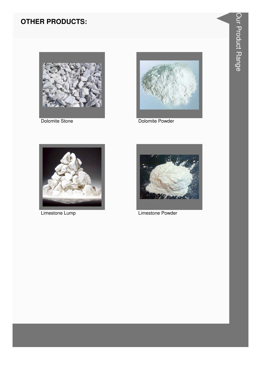# **OTHER PRODUCTS:**



Dolomite Stone



Dolomite Powder



Limestone Lump



Limestone Powder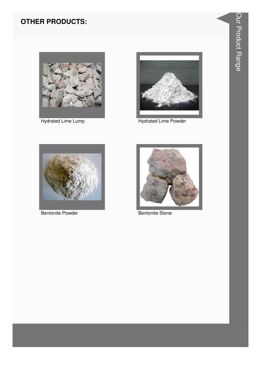# **OTHER PRODUCTS:**



**Hydrated Lime Lump** 



**Hydrated Lime Powder** 



**Bentonite Powder** 



**Bentonite Stone**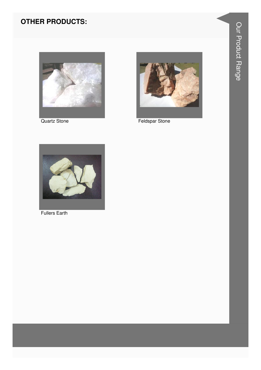### **OTHER PRODUCTS:**



**Quartz Stone** 



**Feldspar Stone** 



**Fullers Earth**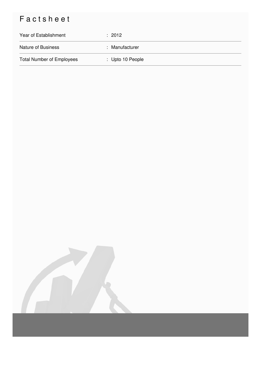# Factsheet

| Year of Establishment            | : 2012           |
|----------------------------------|------------------|
| <b>Nature of Business</b>        | : Manufacturer   |
| <b>Total Number of Employees</b> | : Upto 10 People |